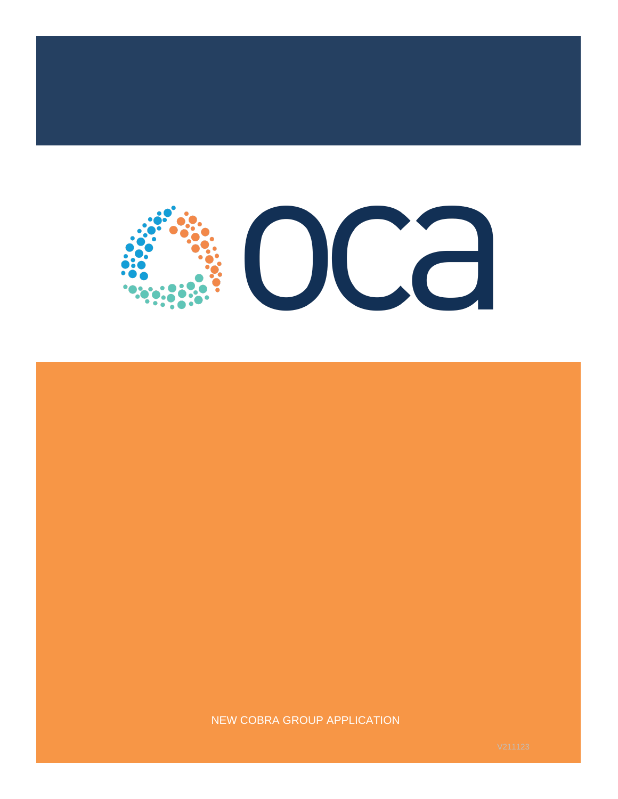

### NEW COBRA GROUP APPLICATION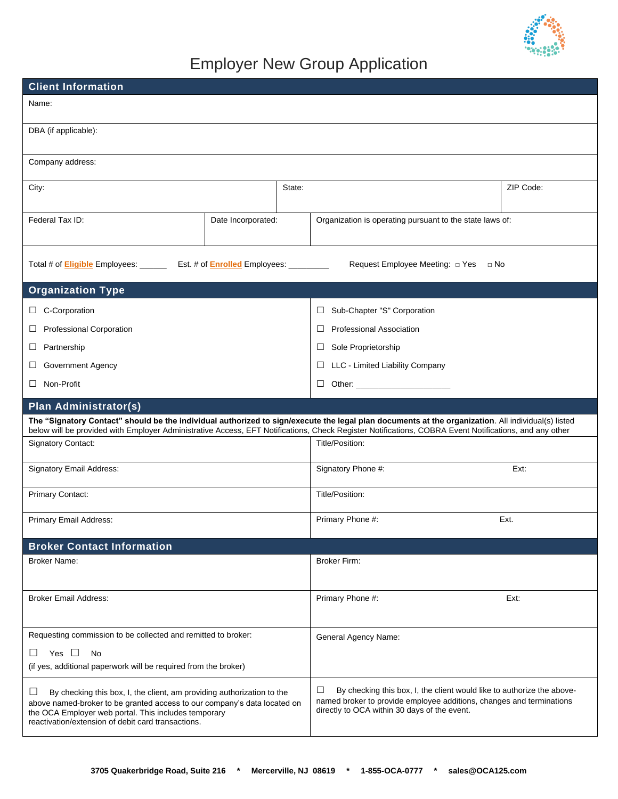

# Employer New Group Application

| <b>Client Information</b>                                                                                                                                                                                                                                             |                    |                                                                                                                                                                                                     |                                                                                                                                                                                                                                                                                                             |           |
|-----------------------------------------------------------------------------------------------------------------------------------------------------------------------------------------------------------------------------------------------------------------------|--------------------|-----------------------------------------------------------------------------------------------------------------------------------------------------------------------------------------------------|-------------------------------------------------------------------------------------------------------------------------------------------------------------------------------------------------------------------------------------------------------------------------------------------------------------|-----------|
| Name:                                                                                                                                                                                                                                                                 |                    |                                                                                                                                                                                                     |                                                                                                                                                                                                                                                                                                             |           |
| DBA (if applicable):                                                                                                                                                                                                                                                  |                    |                                                                                                                                                                                                     |                                                                                                                                                                                                                                                                                                             |           |
| Company address:                                                                                                                                                                                                                                                      |                    |                                                                                                                                                                                                     |                                                                                                                                                                                                                                                                                                             |           |
| City:                                                                                                                                                                                                                                                                 |                    | State:                                                                                                                                                                                              |                                                                                                                                                                                                                                                                                                             | ZIP Code: |
| Federal Tax ID:                                                                                                                                                                                                                                                       | Date Incorporated: |                                                                                                                                                                                                     | Organization is operating pursuant to the state laws of:                                                                                                                                                                                                                                                    |           |
| Total # of <b>Eligible</b> Employees: _________ Est. # of <b>Enrolled</b> Employees: _________                                                                                                                                                                        |                    |                                                                                                                                                                                                     | Request Employee Meeting: $\Box$ Yes<br>⊡ No                                                                                                                                                                                                                                                                |           |
| <b>Organization Type</b>                                                                                                                                                                                                                                              |                    |                                                                                                                                                                                                     |                                                                                                                                                                                                                                                                                                             |           |
| C-Corporation<br>$\Box$                                                                                                                                                                                                                                               |                    |                                                                                                                                                                                                     | Sub-Chapter "S" Corporation<br>ப                                                                                                                                                                                                                                                                            |           |
| <b>Professional Corporation</b><br>ப                                                                                                                                                                                                                                  |                    |                                                                                                                                                                                                     | <b>Professional Association</b><br>ш                                                                                                                                                                                                                                                                        |           |
| Partnership<br>$\Box$                                                                                                                                                                                                                                                 |                    |                                                                                                                                                                                                     | Sole Proprietorship<br>⊔                                                                                                                                                                                                                                                                                    |           |
| Government Agency<br>⊔                                                                                                                                                                                                                                                |                    |                                                                                                                                                                                                     | LLC - Limited Liability Company<br>⊔                                                                                                                                                                                                                                                                        |           |
| Non-Profit<br>Ш                                                                                                                                                                                                                                                       |                    |                                                                                                                                                                                                     | ⊔                                                                                                                                                                                                                                                                                                           |           |
| <b>Plan Administrator(s)</b>                                                                                                                                                                                                                                          |                    |                                                                                                                                                                                                     |                                                                                                                                                                                                                                                                                                             |           |
|                                                                                                                                                                                                                                                                       |                    |                                                                                                                                                                                                     | The "Signatory Contact" should be the individual authorized to sign/execute the legal plan documents at the organization. All individual(s) listed<br>below will be provided with Employer Administrative Access, EFT Notifications, Check Register Notifications, COBRA Event Notifications, and any other |           |
| <b>Signatory Contact:</b>                                                                                                                                                                                                                                             |                    |                                                                                                                                                                                                     | Title/Position:                                                                                                                                                                                                                                                                                             |           |
| Signatory Email Address:                                                                                                                                                                                                                                              |                    | Signatory Phone #:                                                                                                                                                                                  | Ext:                                                                                                                                                                                                                                                                                                        |           |
| Primary Contact:                                                                                                                                                                                                                                                      |                    | Title/Position:                                                                                                                                                                                     |                                                                                                                                                                                                                                                                                                             |           |
| Primary Email Address:                                                                                                                                                                                                                                                |                    |                                                                                                                                                                                                     | Primary Phone #:                                                                                                                                                                                                                                                                                            | Ext.      |
| <b>Broker Contact Information</b>                                                                                                                                                                                                                                     |                    |                                                                                                                                                                                                     |                                                                                                                                                                                                                                                                                                             |           |
| <b>Broker Name:</b>                                                                                                                                                                                                                                                   |                    |                                                                                                                                                                                                     | <b>Broker Firm:</b>                                                                                                                                                                                                                                                                                         |           |
| <b>Broker Email Address:</b>                                                                                                                                                                                                                                          |                    | Primary Phone #:                                                                                                                                                                                    | Ext:                                                                                                                                                                                                                                                                                                        |           |
| Requesting commission to be collected and remitted to broker:<br>Yes $\Box$<br><b>No</b><br>ப<br>(if yes, additional paperwork will be required from the broker)                                                                                                      |                    |                                                                                                                                                                                                     | General Agency Name:                                                                                                                                                                                                                                                                                        |           |
| By checking this box, I, the client, am providing authorization to the<br>ப<br>above named-broker to be granted access to our company's data located on<br>the OCA Employer web portal. This includes temporary<br>reactivation/extension of debit card transactions. |                    | □<br>By checking this box, I, the client would like to authorize the above-<br>named broker to provide employee additions, changes and terminations<br>directly to OCA within 30 days of the event. |                                                                                                                                                                                                                                                                                                             |           |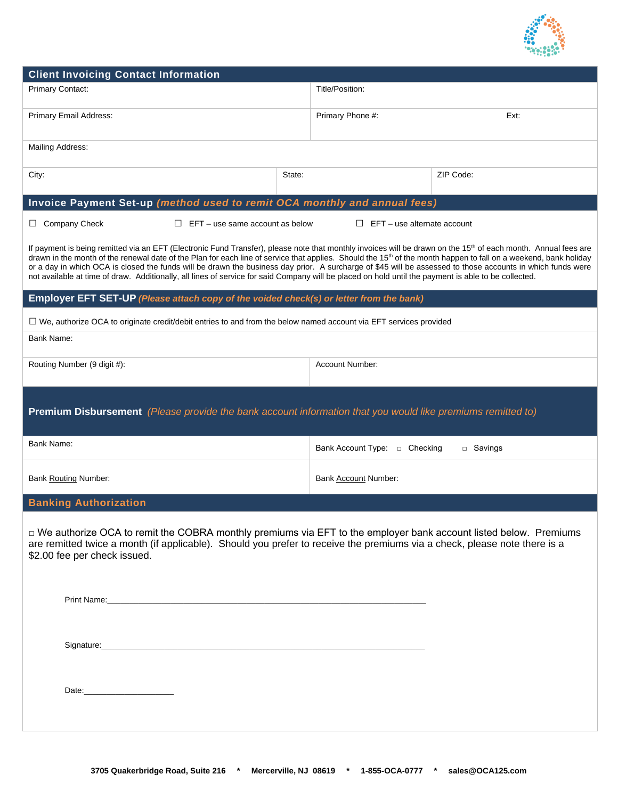

| <b>Client Invoicing Contact Information</b>                                                                                                                                                                                                                                                                                                                                                                                                                                                                                                                                                                                                                                      |        |                                    |           |
|----------------------------------------------------------------------------------------------------------------------------------------------------------------------------------------------------------------------------------------------------------------------------------------------------------------------------------------------------------------------------------------------------------------------------------------------------------------------------------------------------------------------------------------------------------------------------------------------------------------------------------------------------------------------------------|--------|------------------------------------|-----------|
| <b>Primary Contact:</b>                                                                                                                                                                                                                                                                                                                                                                                                                                                                                                                                                                                                                                                          |        | Title/Position:                    |           |
| Primary Email Address:                                                                                                                                                                                                                                                                                                                                                                                                                                                                                                                                                                                                                                                           |        | Primary Phone #:                   | Ext:      |
| Mailing Address:                                                                                                                                                                                                                                                                                                                                                                                                                                                                                                                                                                                                                                                                 |        |                                    |           |
| City:                                                                                                                                                                                                                                                                                                                                                                                                                                                                                                                                                                                                                                                                            | State: |                                    | ZIP Code: |
| Invoice Payment Set-up (method used to remit OCA monthly and annual fees)                                                                                                                                                                                                                                                                                                                                                                                                                                                                                                                                                                                                        |        |                                    |           |
| $\Box$ Company Check<br>$\Box$ EFT – use same account as below                                                                                                                                                                                                                                                                                                                                                                                                                                                                                                                                                                                                                   |        | $\Box$ EFT – use alternate account |           |
| If payment is being remitted via an EFT (Electronic Fund Transfer), please note that monthly invoices will be drawn on the 15 <sup>th</sup> of each month. Annual fees are<br>drawn in the month of the renewal date of the Plan for each line of service that applies. Should the 15 <sup>th</sup> of the month happen to fall on a weekend, bank holiday<br>or a day in which OCA is closed the funds will be drawn the business day prior. A surcharge of \$45 will be assessed to those accounts in which funds were<br>not available at time of draw. Additionally, all lines of service for said Company will be placed on hold until the payment is able to be collected. |        |                                    |           |
| Employer EFT SET-UP (Please attach copy of the voided check(s) or letter from the bank)                                                                                                                                                                                                                                                                                                                                                                                                                                                                                                                                                                                          |        |                                    |           |
| $\Box$ We, authorize OCA to originate credit/debit entries to and from the below named account via EFT services provided                                                                                                                                                                                                                                                                                                                                                                                                                                                                                                                                                         |        |                                    |           |
| Bank Name:                                                                                                                                                                                                                                                                                                                                                                                                                                                                                                                                                                                                                                                                       |        |                                    |           |
| Routing Number (9 digit #):                                                                                                                                                                                                                                                                                                                                                                                                                                                                                                                                                                                                                                                      |        | Account Number:                    |           |
| <b>Premium Disbursement</b> (Please provide the bank account information that you would like premiums remitted to)                                                                                                                                                                                                                                                                                                                                                                                                                                                                                                                                                               |        |                                    |           |
| Bank Name:                                                                                                                                                                                                                                                                                                                                                                                                                                                                                                                                                                                                                                                                       |        | Bank Account Type: □ Checking      | □ Savings |
| <b>Bank Routing Number:</b>                                                                                                                                                                                                                                                                                                                                                                                                                                                                                                                                                                                                                                                      |        | Bank Account Number:               |           |
| <b>Banking Authorization</b>                                                                                                                                                                                                                                                                                                                                                                                                                                                                                                                                                                                                                                                     |        |                                    |           |
| □ We authorize OCA to remit the COBRA monthly premiums via EFT to the employer bank account listed below. Premiums<br>are remitted twice a month (if applicable). Should you prefer to receive the premiums via a check, please note there is a<br>\$2.00 fee per check issued.                                                                                                                                                                                                                                                                                                                                                                                                  |        |                                    |           |
|                                                                                                                                                                                                                                                                                                                                                                                                                                                                                                                                                                                                                                                                                  |        |                                    |           |
|                                                                                                                                                                                                                                                                                                                                                                                                                                                                                                                                                                                                                                                                                  |        |                                    |           |
|                                                                                                                                                                                                                                                                                                                                                                                                                                                                                                                                                                                                                                                                                  |        |                                    |           |
|                                                                                                                                                                                                                                                                                                                                                                                                                                                                                                                                                                                                                                                                                  |        |                                    |           |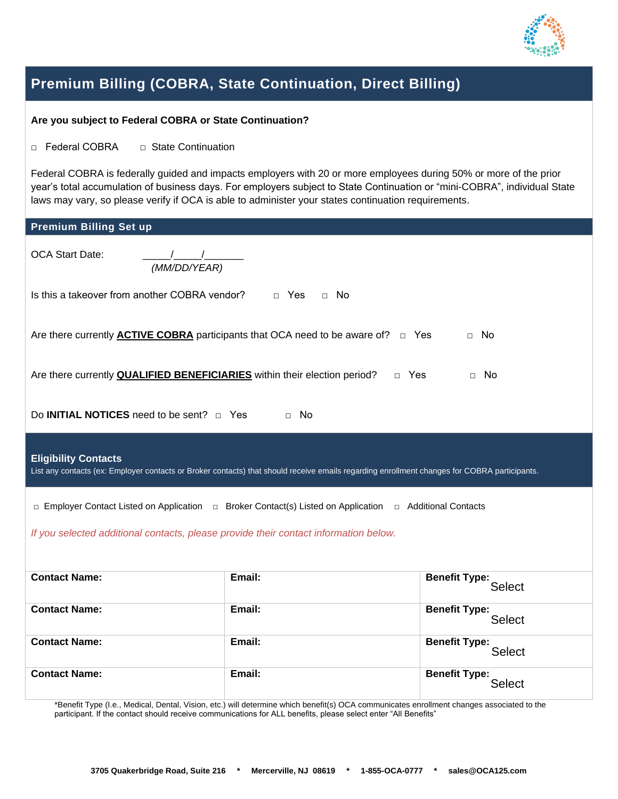

**Select** 

### **Premium Billing (COBRA, State Continuation, Direct Billing)**

#### **Are you subject to Federal COBRA or State Continuation?**

□ Federal COBRA □ State Continuation

Federal COBRA is federally guided and impacts employers with 20 or more employees during 50% or more of the prior year's total accumulation of business days. For employers subject to State Continuation or "mini-COBRA", individual State laws may vary, so please verify if OCA is able to administer your states continuation requirements.

| <b>Premium Billing Set up</b>                                                                                                                                               |        |                                       |
|-----------------------------------------------------------------------------------------------------------------------------------------------------------------------------|--------|---------------------------------------|
| <b>OCA Start Date:</b><br>(MM/DD/YEAR)                                                                                                                                      |        |                                       |
| Is this a takeover from another COBRA vendor? $\Box$ Yes<br>$\Box$ No                                                                                                       |        |                                       |
| Are there currently <b>ACTIVE COBRA</b> participants that OCA need to be aware of? $\Box$ Yes<br>$\Box$ No                                                                  |        |                                       |
| Are there currently <b>QUALIFIED BENEFICIARIES</b> within their election period?<br>□ Yes<br>$\Box$ No                                                                      |        |                                       |
| Do <b>INITIAL NOTICES</b> need to be sent? $\Box$ Yes<br>$\Box$ No                                                                                                          |        |                                       |
| <b>Eligibility Contacts</b><br>List any contacts (ex: Employer contacts or Broker contacts) that should receive emails regarding enrollment changes for COBRA participants. |        |                                       |
| □ Employer Contact Listed on Application □ Broker Contact(s) Listed on Application □ Additional Contacts                                                                    |        |                                       |
| If you selected additional contacts, please provide their contact information below.                                                                                        |        |                                       |
| <b>Contact Name:</b>                                                                                                                                                        | Email: | <b>Benefit Type:</b><br>Select        |
| <b>Contact Name:</b>                                                                                                                                                        | Email: | <b>Benefit Type:</b><br>Select        |
| <b>Contact Name:</b>                                                                                                                                                        | Email: | <b>Benefit Type:</b><br><b>Select</b> |

\*Benefit Type (I.e., Medical, Dental, Vision, etc.) will determine which benefit(s) OCA communicates enrollment changes associated to the participant. If the contact should receive communications for ALL benefits, please select enter "All Benefits"

**Contact Name: Email: Email: Benefit Type: Benefit Type:**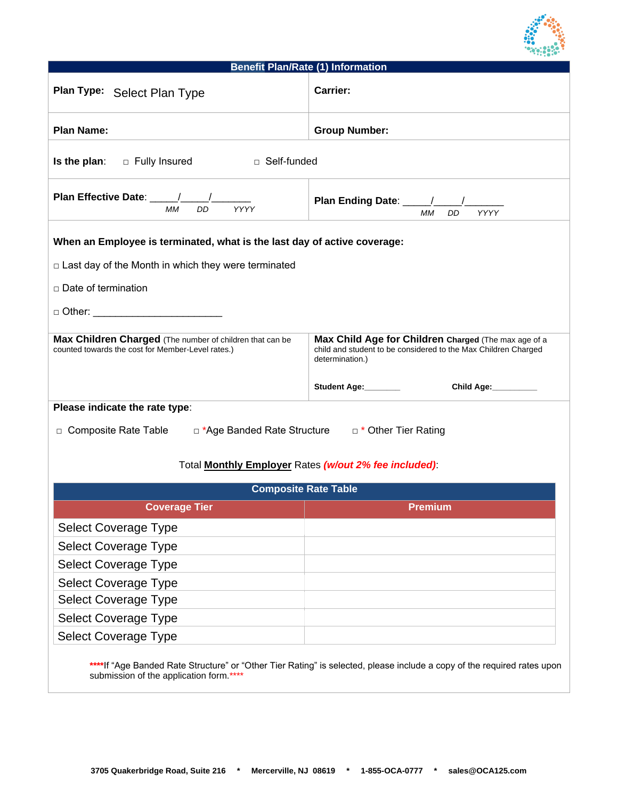

## **Benefit Plan/Rate (1) Information Plan Type: Carrier:** Select Plan Type **Plan Name: Computer Computer Computer Service Computer Computer Computer Computer Computer Computer Computer Computer Computer Computer Computer Computer Computer Computer Computer Computer Computer Computer Computer Co Is the plan:** □ Fully Insured □ Self-funded **Plan Effective Date:** *MM DD YYYY*  **Plan Ending Date:** *MM DD YYYY*  **When an Employee is terminated, what is the last day of active coverage:**  □ Last day of the Month in which they were terminated □ Date of termination  $\Box$  Other: **Max Children Charged** (The number of children that can be counted towards the cost for Member-Level rates.) **Max Child Age for Children Charged** (The max age of a child and student to be considered to the Max Children Charged determination.) Student Age: Child Age: **Please indicate the rate type**: □ Composite Rate Table □ \*Age Banded Rate Structure □ \* Other Tier Rating Total **Monthly Employer** Rates *(w/out 2% fee included)*: **Composite Rate Table Coverage Tier Premium** Select Coverage Type Select Coverage Type Select Coverage Type Select Coverage Type Select Coverage Type Select Coverage Type Select Coverage Type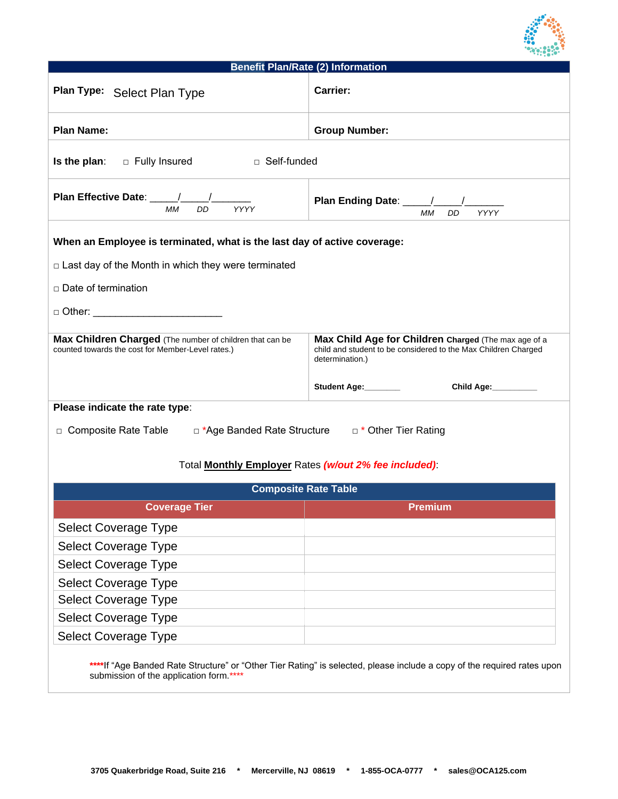

| <b>Benefit Plan/Rate (2) Information</b>                                                                                                                             |                                                                                                                                                                                 |  |
|----------------------------------------------------------------------------------------------------------------------------------------------------------------------|---------------------------------------------------------------------------------------------------------------------------------------------------------------------------------|--|
| Plan Type: Select Plan Type                                                                                                                                          | <b>Carrier:</b>                                                                                                                                                                 |  |
| <b>Plan Name:</b>                                                                                                                                                    | <b>Group Number:</b>                                                                                                                                                            |  |
| □ Self-funded<br>Is the plan:<br>□ Fully Insured                                                                                                                     |                                                                                                                                                                                 |  |
| Plan Effective Date: ____/___/__<br>MM<br>DD<br><b>YYYY</b>                                                                                                          | <b>MM</b><br><b>YYYY</b><br>DD                                                                                                                                                  |  |
| When an Employee is terminated, what is the last day of active coverage:                                                                                             |                                                                                                                                                                                 |  |
| $\Box$ Last day of the Month in which they were terminated                                                                                                           |                                                                                                                                                                                 |  |
| □ Date of termination                                                                                                                                                |                                                                                                                                                                                 |  |
| □ Other: __________________________                                                                                                                                  |                                                                                                                                                                                 |  |
| Max Children Charged (The number of children that can be<br>counted towards the cost for Member-Level rates.)                                                        | Max Child Age for Children Charged (The max age of a<br>child and student to be considered to the Max Children Charged<br>determination.)<br>Student Age:________<br>Child Age: |  |
|                                                                                                                                                                      |                                                                                                                                                                                 |  |
| Please indicate the rate type:<br>□ Composite Rate Table □ *Age Banded Rate Structure □ * Other Tier Rating<br>Total Monthly Employer Rates (w/out 2% fee included): |                                                                                                                                                                                 |  |
| <b>Composite Rate Table</b>                                                                                                                                          |                                                                                                                                                                                 |  |
| <b>Coverage Tier</b>                                                                                                                                                 | <b>Premium</b>                                                                                                                                                                  |  |
| <b>Select Coverage Type</b>                                                                                                                                          |                                                                                                                                                                                 |  |
| <b>Select Coverage Type</b>                                                                                                                                          |                                                                                                                                                                                 |  |
| <b>Select Coverage Type</b>                                                                                                                                          |                                                                                                                                                                                 |  |
| <b>Select Coverage Type</b>                                                                                                                                          |                                                                                                                                                                                 |  |
| <b>Select Coverage Type</b>                                                                                                                                          |                                                                                                                                                                                 |  |
| <b>Select Coverage Type</b>                                                                                                                                          |                                                                                                                                                                                 |  |
| <b>Select Coverage Type</b>                                                                                                                                          |                                                                                                                                                                                 |  |
|                                                                                                                                                                      | ****If "Age Banded Rate Structure" or "Other Tier Rating" is selected, please include a copy of the required rates upon                                                         |  |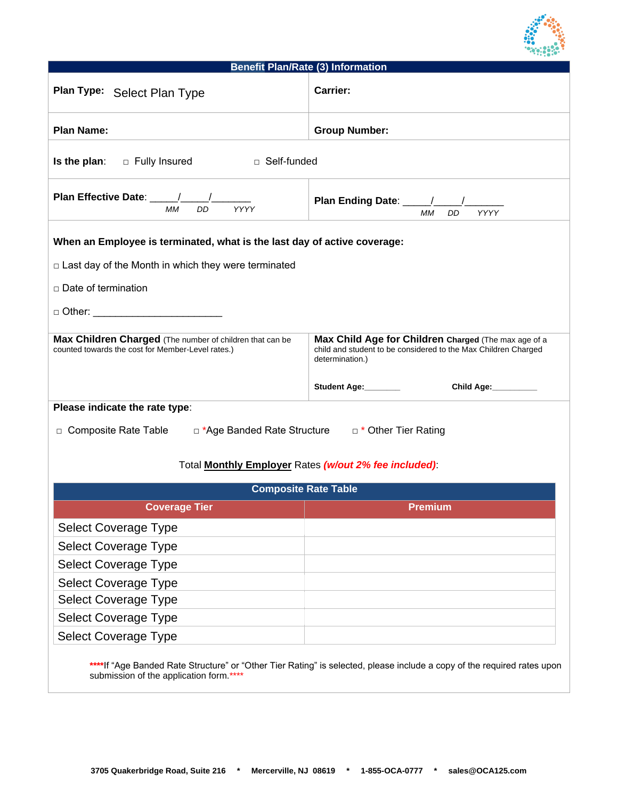

| <b>Benefit Plan/Rate (3) Information</b>                                                                      |                                                                                                                                           |  |
|---------------------------------------------------------------------------------------------------------------|-------------------------------------------------------------------------------------------------------------------------------------------|--|
| Plan Type: Select Plan Type                                                                                   | <b>Carrier:</b>                                                                                                                           |  |
| <b>Plan Name:</b>                                                                                             | <b>Group Number:</b>                                                                                                                      |  |
| □ Self-funded<br>Is the plan:<br>□ Fully Insured                                                              |                                                                                                                                           |  |
| <b>MM</b><br>DD<br>YYYY                                                                                       | Plan Ending Date: ____/____<br><b>MM</b><br><b>DD</b><br><b>YYYY</b>                                                                      |  |
| When an Employee is terminated, what is the last day of active coverage:                                      |                                                                                                                                           |  |
| □ Last day of the Month in which they were terminated                                                         |                                                                                                                                           |  |
| □ Date of termination                                                                                         |                                                                                                                                           |  |
| □ Other: ___________________________                                                                          |                                                                                                                                           |  |
|                                                                                                               |                                                                                                                                           |  |
| Max Children Charged (The number of children that can be<br>counted towards the cost for Member-Level rates.) | Max Child Age for Children Charged (The max age of a<br>child and student to be considered to the Max Children Charged<br>determination.) |  |
|                                                                                                               | Student Age:________<br>Child Age:                                                                                                        |  |
| Please indicate the rate type:                                                                                |                                                                                                                                           |  |
| □ Composite Rate Table    □ *Age Banded Rate Structure    □ * Other Tier Rating                               |                                                                                                                                           |  |
|                                                                                                               |                                                                                                                                           |  |
|                                                                                                               | Total Monthly Employer Rates (w/out 2% fee included):                                                                                     |  |
| <b>Composite Rate Table</b>                                                                                   |                                                                                                                                           |  |
| <b>Coverage Tier</b>                                                                                          | Premium                                                                                                                                   |  |
| Select Coverage Type                                                                                          |                                                                                                                                           |  |
| <b>Select Coverage Type</b>                                                                                   |                                                                                                                                           |  |
| <b>Select Coverage Type</b>                                                                                   |                                                                                                                                           |  |
| <b>Select Coverage Type</b>                                                                                   |                                                                                                                                           |  |
| <b>Select Coverage Type</b>                                                                                   |                                                                                                                                           |  |
| <b>Select Coverage Type</b>                                                                                   |                                                                                                                                           |  |
| <b>Select Coverage Type</b>                                                                                   |                                                                                                                                           |  |
|                                                                                                               | ****If "Age Banded Rate Structure" or "Other Tier Rating" is selected please include a copy of the required rates upon                    |  |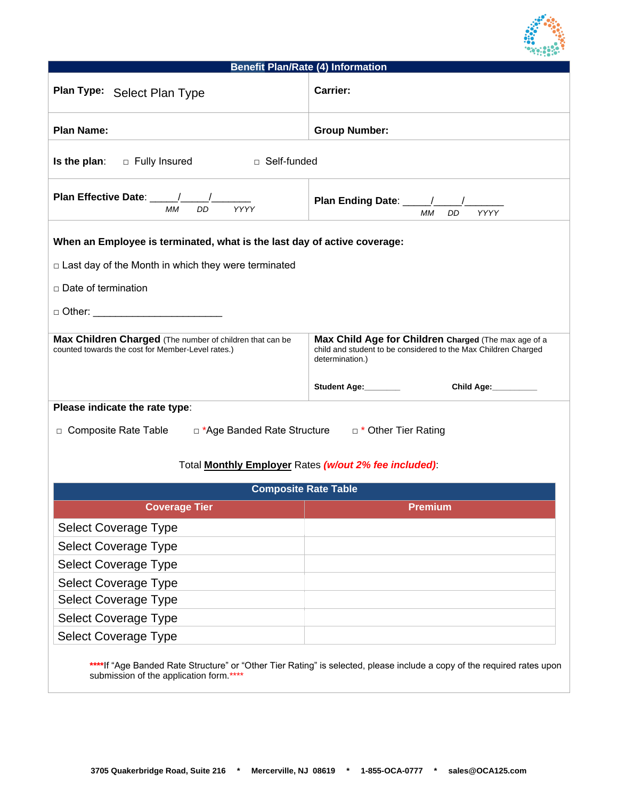

## **Benefit Plan/Rate (4) Information Plan Type: Carrier:** Select Plan Type **Plan Name: Computer Computer Computer Service Computer Computer Computer Computer Computer Computer Computer Computer Computer Computer Computer Computer Computer Computer Computer Computer Computer Computer Computer Co Is the plan:** □ Fully Insured □ Self-funded **Plan Effective Date:** *MM DD YYYY*  **Plan Ending Date:** *MM DD YYYY*  **When an Employee is terminated, what is the last day of active coverage:**  □ Last day of the Month in which they were terminated □ Date of termination  $\Box$  Other: **Max Children Charged** (The number of children that can be counted towards the cost for Member-Level rates.) **Max Child Age for Children Charged** (The max age of a child and student to be considered to the Max Children Charged determination.) Student Age: Child Age: **Please indicate the rate type**: □ Composite Rate Table □ \*Age Banded Rate Structure □ \* Other Tier Rating Total **Monthly Employer** Rates *(w/out 2% fee included)*: **Composite Rate Table Coverage Tier Premium** Select Coverage Type Select Coverage Type Select Coverage Type Select Coverage Type Select Coverage Type Select Coverage Type Select Coverage Type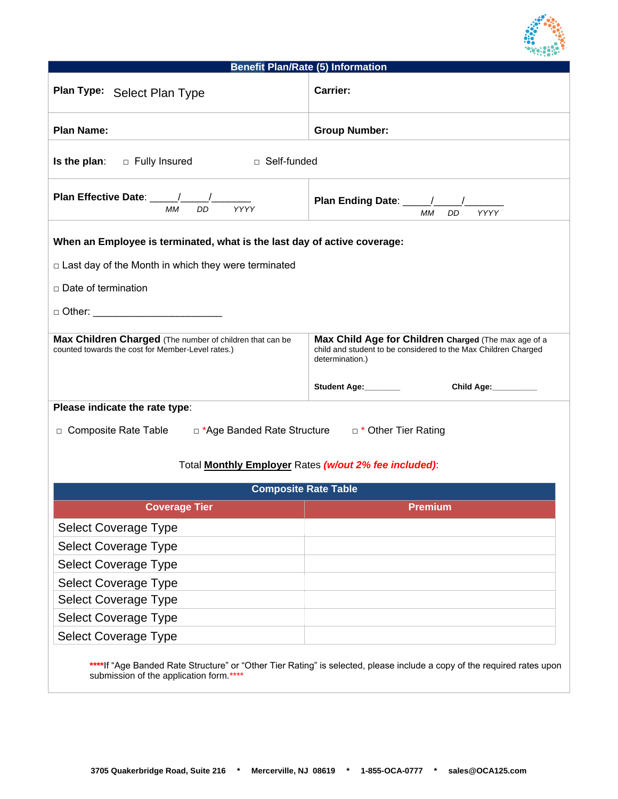

| <b>Benefit Plan/Rate (5) Information</b>                                                                                                                                                               |                                                                                                                                           |  |
|--------------------------------------------------------------------------------------------------------------------------------------------------------------------------------------------------------|-------------------------------------------------------------------------------------------------------------------------------------------|--|
| Plan Type: Select Plan Type                                                                                                                                                                            | <b>Carrier:</b>                                                                                                                           |  |
| <b>Plan Name:</b>                                                                                                                                                                                      | <b>Group Number:</b>                                                                                                                      |  |
| □ Self-funded<br>Is the plan:<br>□ Fully Insured                                                                                                                                                       |                                                                                                                                           |  |
| Plan Effective Date: _____/_____/____<br>MM<br>DD<br>YYYY                                                                                                                                              | МM<br><b>DD</b><br><b>YYYY</b>                                                                                                            |  |
| When an Employee is terminated, what is the last day of active coverage:<br>$\Box$ Last day of the Month in which they were terminated<br>□ Date of termination<br>□ Other: __________________________ |                                                                                                                                           |  |
| Max Children Charged (The number of children that can be<br>counted towards the cost for Member-Level rates.)                                                                                          | Max Child Age for Children Charged (The max age of a<br>child and student to be considered to the Max Children Charged<br>determination.) |  |
|                                                                                                                                                                                                        | Student Age: ________<br>Child Age:                                                                                                       |  |
| Please indicate the rate type:                                                                                                                                                                         |                                                                                                                                           |  |
| □ Composite Rate Table □ *Age Banded Rate Structure □ * Other Tier Rating                                                                                                                              |                                                                                                                                           |  |
| Total Monthly Employer Rates (w/out 2% fee included):                                                                                                                                                  |                                                                                                                                           |  |
| <b>Composite Rate Table</b>                                                                                                                                                                            |                                                                                                                                           |  |
| <b>Coverage Tier</b>                                                                                                                                                                                   | Premium                                                                                                                                   |  |
| <b>Select Coverage Type</b>                                                                                                                                                                            |                                                                                                                                           |  |
| <b>Select Coverage Type</b>                                                                                                                                                                            |                                                                                                                                           |  |
| <b>Select Coverage Type</b>                                                                                                                                                                            |                                                                                                                                           |  |
| <b>Select Coverage Type</b>                                                                                                                                                                            |                                                                                                                                           |  |
| <b>Select Coverage Type</b>                                                                                                                                                                            |                                                                                                                                           |  |
| <b>Select Coverage Type</b>                                                                                                                                                                            |                                                                                                                                           |  |
| Select Coverage Type                                                                                                                                                                                   |                                                                                                                                           |  |
|                                                                                                                                                                                                        | ****If "Age Banded Rate Structure" or "Other Tier Rating" is selected, please include a copy of the required rates upon                   |  |